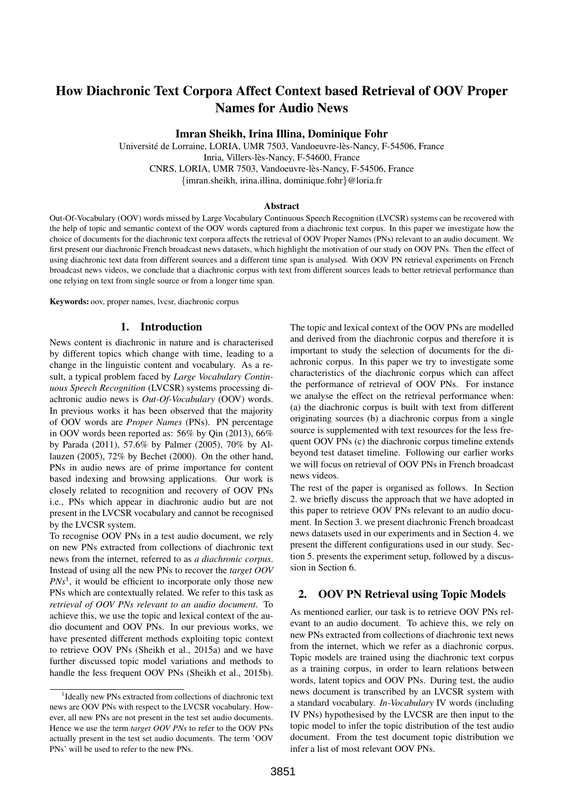# How Diachronic Text Corpora Affect Context based Retrieval of OOV Proper Names for Audio News

Imran Sheikh, Irina Illina, Dominique Fohr

Université de Lorraine, LORIA, UMR 7503, Vandoeuvre-lès-Nancy, F-54506, France Inria, Villers-les-Nancy, F-54600, France ` CNRS, LORIA, UMR 7503, Vandoeuvre-les-Nancy, F-54506, France ` {imran.sheikh, irina.illina, dominique.fohr}@loria.fr

#### Abstract

Out-Of-Vocabulary (OOV) words missed by Large Vocabulary Continuous Speech Recognition (LVCSR) systems can be recovered with the help of topic and semantic context of the OOV words captured from a diachronic text corpus. In this paper we investigate how the choice of documents for the diachronic text corpora affects the retrieval of OOV Proper Names (PNs) relevant to an audio document. We first present our diachronic French broadcast news datasets, which highlight the motivation of our study on OOV PNs. Then the effect of using diachronic text data from different sources and a different time span is analysed. With OOV PN retrieval experiments on French broadcast news videos, we conclude that a diachronic corpus with text from different sources leads to better retrieval performance than one relying on text from single source or from a longer time span.

Keywords: oov, proper names, lvcsr, diachronic corpus

#### 1. Introduction

News content is diachronic in nature and is characterised by different topics which change with time, leading to a change in the linguistic content and vocabulary. As a result, a typical problem faced by *Large Vocabulary Continuous Speech Recognition* (LVCSR) systems processing diachronic audio news is *Out-Of-Vocabulary* (OOV) words. In previous works it has been observed that the majority of OOV words are *Proper Names* (PNs). PN percentage in OOV words been reported as: 56% by Qin (2013), 66% by Parada (2011), 57.6% by Palmer (2005), 70% by Allauzen (2005), 72% by Bechet (2000). On the other hand, PNs in audio news are of prime importance for content based indexing and browsing applications. Our work is closely related to recognition and recovery of OOV PNs i.e., PNs which appear in diachronic audio but are not present in the LVCSR vocabulary and cannot be recognised by the LVCSR system.

To recognise OOV PNs in a test audio document, we rely on new PNs extracted from collections of diachronic text news from the internet, referred to as *a diachronic corpus*. Instead of using all the new PNs to recover the *target OOV PNs*<sup>1</sup> , it would be efficient to incorporate only those new PNs which are contextually related. We refer to this task as *retrieval of OOV PNs relevant to an audio document*. To achieve this, we use the topic and lexical context of the audio document and OOV PNs. In our previous works, we have presented different methods exploiting topic context to retrieve OOV PNs (Sheikh et al., 2015a) and we have further discussed topic model variations and methods to handle the less frequent OOV PNs (Sheikh et al., 2015b).

The topic and lexical context of the OOV PNs are modelled and derived from the diachronic corpus and therefore it is important to study the selection of documents for the diachronic corpus. In this paper we try to investigate some characteristics of the diachronic corpus which can affect the performance of retrieval of OOV PNs. For instance we analyse the effect on the retrieval performance when: (a) the diachronic corpus is built with text from different originating sources (b) a diachronic corpus from a single source is supplemented with text resources for the less frequent OOV PNs (c) the diachronic corpus timeline extends beyond test dataset timeline. Following our earlier works we will focus on retrieval of OOV PNs in French broadcast news videos.

The rest of the paper is organised as follows. In Section 2. we briefly discuss the approach that we have adopted in this paper to retrieve OOV PNs relevant to an audio document. In Section 3. we present diachronic French broadcast news datasets used in our experiments and in Section 4. we present the different configurations used in our study. Section 5. presents the experiment setup, followed by a discussion in Section 6.

## 2. OOV PN Retrieval using Topic Models

As mentioned earlier, our task is to retrieve OOV PNs relevant to an audio document. To achieve this, we rely on new PNs extracted from collections of diachronic text news from the internet, which we refer as a diachronic corpus. Topic models are trained using the diachronic text corpus as a training corpus, in order to learn relations between words, latent topics and OOV PNs. During test, the audio news document is transcribed by an LVCSR system with a standard vocabulary. *In-Vocabulary* IV words (including IV PNs) hypothesised by the LVCSR are then input to the topic model to infer the topic distribution of the test audio document. From the test document topic distribution we infer a list of most relevant OOV PNs.

<sup>&</sup>lt;sup>1</sup>Ideally new PNs extracted from collections of diachronic text news are OOV PNs with respect to the LVCSR vocabulary. However, all new PNs are not present in the test set audio documents. Hence we use the term *target OOV PNs* to refer to the OOV PNs actually present in the test set audio documents. The term 'OOV PNs' will be used to refer to the new PNs.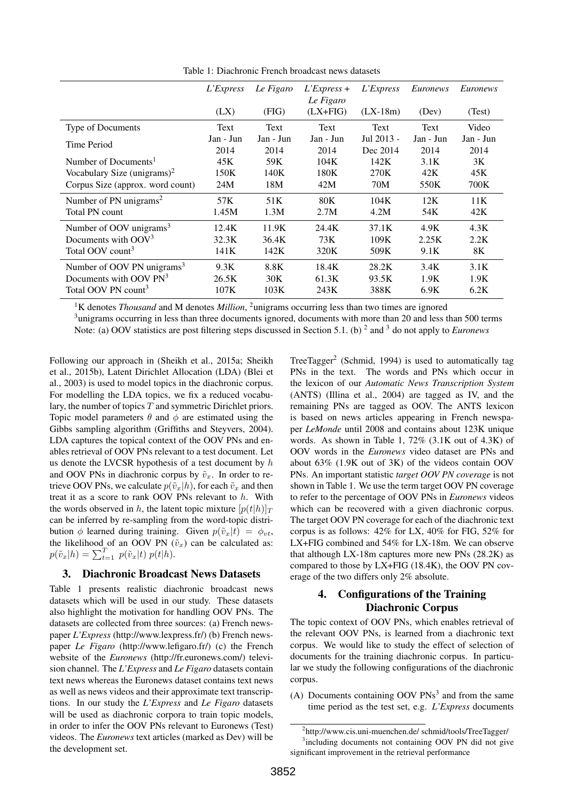|                                        | L'Express         | Le Figaro         | $L$ 'Express +            | L'Express              | Euronews          | Euronews          |
|----------------------------------------|-------------------|-------------------|---------------------------|------------------------|-------------------|-------------------|
|                                        | (LX)              | (FIG)             | Le Figaro<br>$(LX + FIG)$ | $(LX-18m)$             | (Dev)             | (Test)            |
| Type of Documents                      | Text              | Text              | Text                      | Text                   | Text              | Video             |
| Time Period                            | Jan - Jun<br>2014 | Jan - Jun<br>2014 | Jan - Jun<br>2014         | Jul 2013 -<br>Dec 2014 | Jan - Jun<br>2014 | Jan - Jun<br>2014 |
| Number of Documents <sup>1</sup>       | 45K               | 59K               | 104K                      | 142K                   | 3.1K              | 3K                |
| Vocabulary Size $(unigrams)^2$         | 150K              | 140K              | 180K                      | 270K                   | 42K               | 45K               |
| Corpus Size (approx. word count)       | 24M               | 18M               | 42M                       | 70M                    | 550K              | 700K              |
| Number of PN unigrams <sup>2</sup>     | 57K               | 51 <sub>K</sub>   | 80K                       | 104K                   | 12K               | 11K               |
| Total PN count                         | 1.45M             | 1.3M              | 2.7M                      | 4.2M                   | 54K               | 42K               |
| Number of OOV unigrams <sup>3</sup>    | 12.4K             | 11.9K             | 24.4K                     | 37.1K                  | 4.9K              | 4.3K              |
| Documents with $OOV3$                  | 32.3K             | 36.4K             | 73K                       | 109K                   | 2.25K             | 2.2K              |
| Total OOV count <sup>3</sup>           | 141K              | 142K              | 320K                      | 509K                   | 9.1K              | 8K                |
| Number of OOV PN unigrams <sup>3</sup> | 9.3K              | 8.8K              | 18.4K                     | 28.2K                  | 3.4K              | 3.1K              |
| Documents with OOV PN <sup>3</sup>     | 26.5K             | 30K               | 61.3K                     | 93.5K                  | 1.9K              | 1.9K              |
| Total OOV PN count <sup>3</sup>        | 107K              | 103K              | 243K                      | 388K                   | 6.9K              | 6.2K              |

Table 1: Diachronic French broadcast news datasets

<sup>1</sup>K denotes *Thousand* and M denotes *Million*, <sup>2</sup>unigrams occurring less than two times are ignored

<sup>3</sup>unigrams occurring in less than three documents ignored, documents with more than 20 and less than 500 terms Note: (a) OOV statistics are post filtering steps discussed in Section 5.1. (b) <sup>2</sup> and <sup>3</sup> do not apply to *Euronews* 

Following our approach in (Sheikh et al., 2015a; Sheikh et al., 2015b), Latent Dirichlet Allocation (LDA) (Blei et al., 2003) is used to model topics in the diachronic corpus. For modelling the LDA topics, we fix a reduced vocabulary, the number of topics  $T$  and symmetric Dirichlet priors. Topic model parameters  $\theta$  and  $\phi$  are estimated using the Gibbs sampling algorithm (Griffiths and Steyvers, 2004). LDA captures the topical context of the OOV PNs and enables retrieval of OOV PNs relevant to a test document. Let us denote the LVCSR hypothesis of a test document by h and OOV PNs in diachronic corpus by  $\tilde{v}_x$ . In order to retrieve OOV PNs, we calculate  $p(\tilde{v}_x|h)$ , for each  $\tilde{v}_x$  and then treat it as a score to rank OOV PNs relevant to h. With the words observed in h, the latent topic mixture  $[p(t|h)]_T$ can be inferred by re-sampling from the word-topic distribution  $\phi$  learned during training. Given  $p(\tilde{v}_x|t) = \phi_{vt}$ , the likelihood of an OOV PN  $(\tilde{v}_x)$  can be calculated as:  $p(\tilde{v}_x|h) = \sum_{t=1}^T p(\tilde{v}_x|t) p(t|h).$ 

## 3. Diachronic Broadcast News Datasets

Table 1 presents realistic diachronic broadcast news datasets which will be used in our study. These datasets also highlight the motivation for handling OOV PNs. The datasets are collected from three sources: (a) French newspaper *L'Express* (http://www.lexpress.fr/) (b) French newspaper *Le Figaro* (http://www.lefigaro.fr/) (c) the French website of the *Euronews* (http://fr.euronews.com/) television channel. The *L'Express* and *Le Figaro* datasets contain text news whereas the Euronews dataset contains text news as well as news videos and their approximate text transcriptions. In our study the *L'Express* and *Le Figaro* datasets will be used as diachronic corpora to train topic models, in order to infer the OOV PNs relevant to Euronews (Test) videos. The *Euronews* text articles (marked as Dev) will be the development set.

TreeTagger<sup>2</sup> (Schmid, 1994) is used to automatically tag PNs in the text. The words and PNs which occur in the lexicon of our *Automatic News Transcription System* (ANTS) (Illina et al., 2004) are tagged as IV, and the remaining PNs are tagged as OOV. The ANTS lexicon is based on news articles appearing in French newspaper *LeMonde* until 2008 and contains about 123K unique words. As shown in Table 1, 72% (3.1K out of 4.3K) of OOV words in the *Euronews* video dataset are PNs and about 63% (1.9K out of 3K) of the videos contain OOV PNs. An important statistic *target OOV PN coverage* is not shown in Table 1. We use the term target OOV PN coverage to refer to the percentage of OOV PNs in *Euronews* videos which can be recovered with a given diachronic corpus. The target OOV PN coverage for each of the diachronic text corpus is as follows: 42% for LX, 40% for FIG, 52% for LX+FIG combined and 54% for LX-18m. We can observe that although LX-18m captures more new PNs (28.2K) as compared to those by LX+FIG (18.4K), the OOV PN coverage of the two differs only 2% absolute.

# 4. Configurations of the Training Diachronic Corpus

The topic context of OOV PNs, which enables retrieval of the relevant OOV PNs, is learned from a diachronic text corpus. We would like to study the effect of selection of documents for the training diachronic corpus. In particular we study the following configurations of the diachronic corpus.

(A) Documents containing OOV  $PNs^3$  and from the same time period as the test set, e.g. *L'Express* documents

<sup>&</sup>lt;sup>2</sup>http://www.cis.uni-muenchen.de/ schmid/tools/TreeTagger/

<sup>&</sup>lt;sup>3</sup>including documents not containing OOV PN did not give significant improvement in the retrieval performance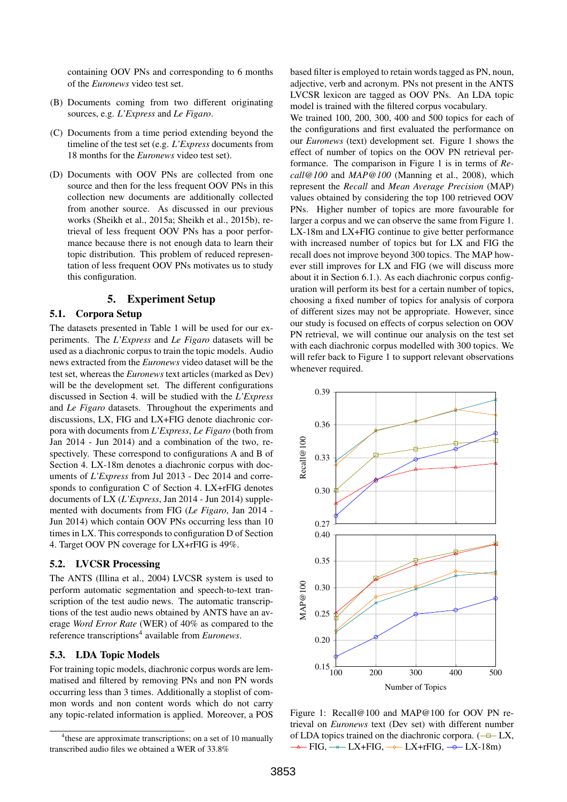containing OOV PNs and corresponding to 6 months of the *Euronews* video test set.

- (B) Documents coming from two different originating sources, e.g. *L'Express* and *Le Figaro*.
- (C) Documents from a time period extending beyond the timeline of the test set (e.g. *L'Express* documents from 18 months for the *Euronews* video test set).
- (D) Documents with OOV PNs are collected from one source and then for the less frequent OOV PNs in this collection new documents are additionally collected from another source. As discussed in our previous works (Sheikh et al., 2015a; Sheikh et al., 2015b), retrieval of less frequent OOV PNs has a poor performance because there is not enough data to learn their topic distribution. This problem of reduced representation of less frequent OOV PNs motivates us to study this configuration.

## 5. Experiment Setup

#### 5.1. Corpora Setup

The datasets presented in Table 1 will be used for our experiments. The *L'Express* and *Le Figaro* datasets will be used as a diachronic corpus to train the topic models. Audio news extracted from the *Euronews* video dataset will be the test set, whereas the *Euronews* text articles (marked as Dev) will be the development set. The different configurations discussed in Section 4. will be studied with the *L'Express* and *Le Figaro* datasets. Throughout the experiments and discussions, LX, FIG and LX+FIG denote diachronic corpora with documents from *L'Express*, *Le Figaro* (both from Jan 2014 - Jun 2014) and a combination of the two, respectively. These correspond to configurations A and B of Section 4. LX-18m denotes a diachronic corpus with documents of *L'Express* from Jul 2013 - Dec 2014 and corresponds to configuration C of Section 4. LX+rFIG denotes documents of LX (*L'Express*, Jan 2014 - Jun 2014) supplemented with documents from FIG (*Le Figaro*, Jan 2014 - Jun 2014) which contain OOV PNs occurring less than 10 times in LX. This corresponds to configuration D of Section 4. Target OOV PN coverage for LX+rFIG is 49%.

### 5.2. LVCSR Processing

The ANTS (Illina et al., 2004) LVCSR system is used to perform automatic segmentation and speech-to-text transcription of the test audio news. The automatic transcriptions of the test audio news obtained by ANTS have an average *Word Error Rate* (WER) of 40% as compared to the reference transcriptions<sup>4</sup> available from *Euronews*.

## 5.3. LDA Topic Models

For training topic models, diachronic corpus words are lemmatised and filtered by removing PNs and non PN words occurring less than 3 times. Additionally a stoplist of common words and non content words which do not carry any topic-related information is applied. Moreover, a POS based filter is employed to retain words tagged as PN, noun, adjective, verb and acronym. PNs not present in the ANTS LVCSR lexicon are tagged as OOV PNs. An LDA topic model is trained with the filtered corpus vocabulary.

We trained 100, 200, 300, 400 and 500 topics for each of the configurations and first evaluated the performance on our *Euronews* (text) development set. Figure 1 shows the effect of number of topics on the OOV PN retrieval performance. The comparison in Figure 1 is in terms of *Recall@100* and *MAP@100* (Manning et al., 2008), which represent the *Recall* and *Mean Average Precision* (MAP) values obtained by considering the top 100 retrieved OOV PNs. Higher number of topics are more favourable for larger a corpus and we can observe the same from Figure 1. LX-18m and LX+FIG continue to give better performance with increased number of topics but for LX and FIG the recall does not improve beyond 300 topics. The MAP however still improves for LX and FIG (we will discuss more about it in Section 6.1.). As each diachronic corpus configuration will perform its best for a certain number of topics, choosing a fixed number of topics for analysis of corpora of different sizes may not be appropriate. However, since our study is focused on effects of corpus selection on OOV PN retrieval, we will continue our analysis on the test set with each diachronic corpus modelled with 300 topics. We will refer back to Figure 1 to support relevant observations whenever required.



Figure 1: Recall@100 and MAP@100 for OOV PN retrieval on *Euronews* text (Dev set) with different number of LDA topics trained on the diachronic corpora.  $(-\Box - LX,$  $-FIG. \rightarrow LX+FIG. \rightarrow LX+rFIG. \rightarrow LX-18m$ 

<sup>&</sup>lt;sup>4</sup> these are approximate transcriptions; on a set of 10 manually transcribed audio files we obtained a WER of 33.8%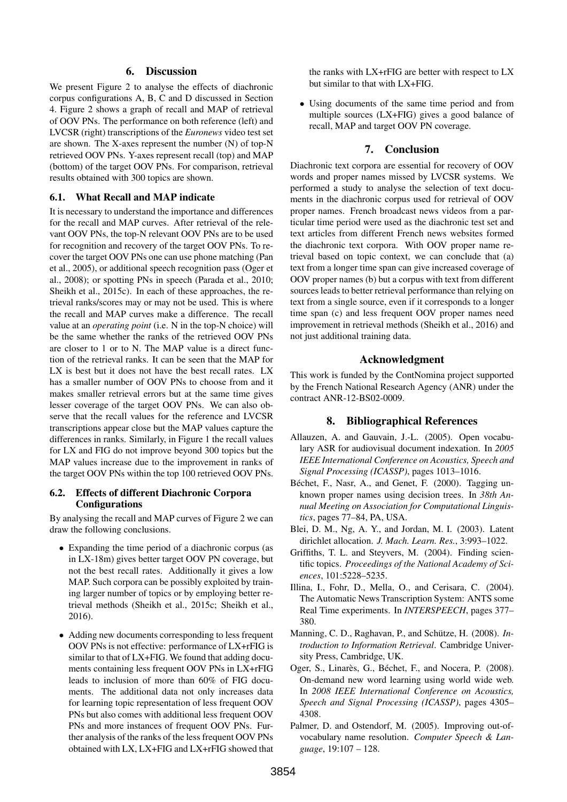### 6. Discussion

We present Figure 2 to analyse the effects of diachronic corpus configurations A, B, C and D discussed in Section 4. Figure 2 shows a graph of recall and MAP of retrieval of OOV PNs. The performance on both reference (left) and LVCSR (right) transcriptions of the *Euronews* video test set are shown. The X-axes represent the number (N) of top-N retrieved OOV PNs. Y-axes represent recall (top) and MAP (bottom) of the target OOV PNs. For comparison, retrieval results obtained with 300 topics are shown.

#### 6.1. What Recall and MAP indicate

It is necessary to understand the importance and differences for the recall and MAP curves. After retrieval of the relevant OOV PNs, the top-N relevant OOV PNs are to be used for recognition and recovery of the target OOV PNs. To recover the target OOV PNs one can use phone matching (Pan et al., 2005), or additional speech recognition pass (Oger et al., 2008); or spotting PNs in speech (Parada et al., 2010; Sheikh et al., 2015c). In each of these approaches, the retrieval ranks/scores may or may not be used. This is where the recall and MAP curves make a difference. The recall value at an *operating point* (i.e. N in the top-N choice) will be the same whether the ranks of the retrieved OOV PNs are closer to 1 or to N. The MAP value is a direct function of the retrieval ranks. It can be seen that the MAP for LX is best but it does not have the best recall rates. LX has a smaller number of OOV PNs to choose from and it makes smaller retrieval errors but at the same time gives lesser coverage of the target OOV PNs. We can also observe that the recall values for the reference and LVCSR transcriptions appear close but the MAP values capture the differences in ranks. Similarly, in Figure 1 the recall values for LX and FIG do not improve beyond 300 topics but the MAP values increase due to the improvement in ranks of the target OOV PNs within the top 100 retrieved OOV PNs.

#### 6.2. Effects of different Diachronic Corpora **Configurations**

By analysing the recall and MAP curves of Figure 2 we can draw the following conclusions.

- Expanding the time period of a diachronic corpus (as in LX-18m) gives better target OOV PN coverage, but not the best recall rates. Additionally it gives a low MAP. Such corpora can be possibly exploited by training larger number of topics or by employing better retrieval methods (Sheikh et al., 2015c; Sheikh et al., 2016).
- Adding new documents corresponding to less frequent OOV PNs is not effective: performance of LX+rFIG is similar to that of LX+FIG. We found that adding documents containing less frequent OOV PNs in LX+rFIG leads to inclusion of more than 60% of FIG documents. The additional data not only increases data for learning topic representation of less frequent OOV PNs but also comes with additional less frequent OOV PNs and more instances of frequent OOV PNs. Further analysis of the ranks of the less frequent OOV PNs obtained with LX, LX+FIG and LX+rFIG showed that

the ranks with LX+rFIG are better with respect to LX but similar to that with LX+FIG.

• Using documents of the same time period and from multiple sources (LX+FIG) gives a good balance of recall, MAP and target OOV PN coverage.

#### 7. Conclusion

Diachronic text corpora are essential for recovery of OOV words and proper names missed by LVCSR systems. We performed a study to analyse the selection of text documents in the diachronic corpus used for retrieval of OOV proper names. French broadcast news videos from a particular time period were used as the diachronic test set and text articles from different French news websites formed the diachronic text corpora. With OOV proper name retrieval based on topic context, we can conclude that (a) text from a longer time span can give increased coverage of OOV proper names (b) but a corpus with text from different sources leads to better retrieval performance than relying on text from a single source, even if it corresponds to a longer time span (c) and less frequent OOV proper names need improvement in retrieval methods (Sheikh et al., 2016) and not just additional training data.

#### Acknowledgment

This work is funded by the ContNomina project supported by the French National Research Agency (ANR) under the contract ANR-12-BS02-0009.

#### 8. Bibliographical References

- Allauzen, A. and Gauvain, J.-L. (2005). Open vocabulary ASR for audiovisual document indexation. In *2005 IEEE International Conference on Acoustics, Speech and Signal Processing (ICASSP)*, pages 1013–1016.
- Béchet, F., Nasr, A., and Genet, F. (2000). Tagging unknown proper names using decision trees. In *38th Annual Meeting on Association for Computational Linguistics*, pages 77–84, PA, USA.
- Blei, D. M., Ng, A. Y., and Jordan, M. I. (2003). Latent dirichlet allocation. *J. Mach. Learn. Res.*, 3:993–1022.
- Griffiths, T. L. and Steyvers, M. (2004). Finding scientific topics. *Proceedings of the National Academy of Sciences*, 101:5228–5235.
- Illina, I., Fohr, D., Mella, O., and Cerisara, C. (2004). The Automatic News Transcription System: ANTS some Real Time experiments. In *INTERSPEECH*, pages 377– 380.
- Manning, C. D., Raghavan, P., and Schütze, H. (2008). *Introduction to Information Retrieval*. Cambridge University Press, Cambridge, UK.
- Oger, S., Linarès, G., Béchet, F., and Nocera, P. (2008). On-demand new word learning using world wide web. In *2008 IEEE International Conference on Acoustics, Speech and Signal Processing (ICASSP)*, pages 4305– 4308.
- Palmer, D. and Ostendorf, M. (2005). Improving out-ofvocabulary name resolution. *Computer Speech & Language*, 19:107 – 128.